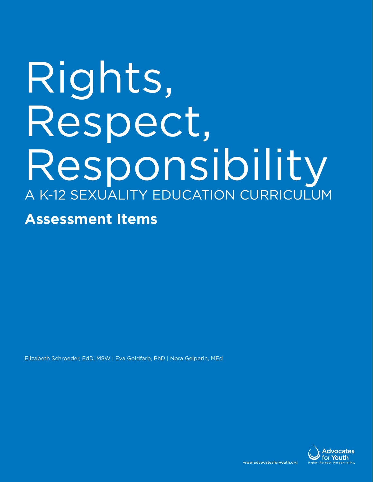# Rights, Respect, Responsibility A K-12 Sexuality Education Curriculum **Assessment Items**

Elizabeth Schroeder, EdD, MSW | Eva Goldfarb, PhD | Nora Gelperin, MEd

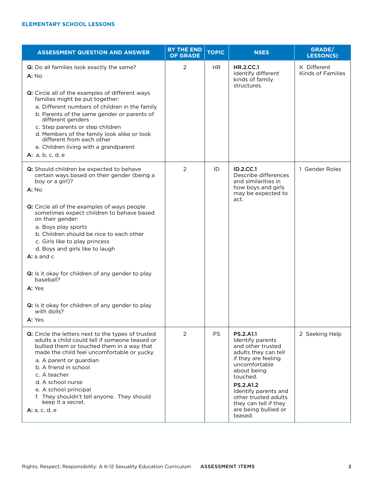| <b>ASSESSMENT QUESTION AND ANSWER</b>                                                                                                                                                                                                                                                                                                                                                                                                                                                                                                                  | <b>BY THE END</b><br><b>OF GRADE</b> | <b>TOPIC</b> | <b>NSES</b>                                                                                                                                                                                                                                                                          | GRADE/<br><b>LESSON(S)</b>       |
|--------------------------------------------------------------------------------------------------------------------------------------------------------------------------------------------------------------------------------------------------------------------------------------------------------------------------------------------------------------------------------------------------------------------------------------------------------------------------------------------------------------------------------------------------------|--------------------------------------|--------------|--------------------------------------------------------------------------------------------------------------------------------------------------------------------------------------------------------------------------------------------------------------------------------------|----------------------------------|
| Q: Do all families look exactly the same?<br>A: No<br>Q: Circle all of the examples of different ways<br>families might be put together:<br>a. Different numbers of children in the family<br>b. Parents of the same gender or parents of<br>different genders<br>c. Step parents or step children<br>d. Members of the family look alike or look<br>different from each other<br>e. Children living with a grandparent<br><b>A:</b> a, b, c, d, e                                                                                                     | 2                                    | <b>HR</b>    | <b>HR.2.CC.1</b><br>Identify different<br>kinds of family<br>structures.                                                                                                                                                                                                             | K Different<br>Kinds of Families |
| Q: Should children be expected to behave<br>certain ways based on their gender (being a<br>boy or a girl)?<br>A: No<br>Q: Circle all of the examples of ways people<br>sometimes expect children to behave based<br>on their gender:<br>a. Boys play sports<br>b. Children should be nice to each other<br>c. Girls like to play princess<br>d. Boys and girls like to laugh<br>$A: a$ and $c$<br>Q: Is it okay for children of any gender to play<br>baseball?<br>A: Yes<br>Q: Is it okay for children of any gender to play<br>with dolls?<br>A: Yes | 2                                    | ID           | <b>ID.2.CC.1</b><br>Describe differences<br>and similarities in<br>how boys and girls<br>may be expected to<br>act.                                                                                                                                                                  | 1 Gender Roles                   |
| Q: Circle the letters next to the types of trusted<br>adults a child could tell if someone teased or<br>bullied them or touched them in a way that<br>made the child feel uncomfortable or yucky.<br>a. A parent or guardian<br>b. A friend in school<br>c. A teacher<br>d. A school nurse<br>e. A school principal<br>f. They shouldn't tell anyone. They should<br>keep it a secret.<br>A: a, c, d, e                                                                                                                                                | 2                                    | <b>PS</b>    | <b>PS.2.A1.1</b><br>Identify parents<br>and other trusted<br>adults they can tell<br>if they are feeling<br>uncomfortable<br>about being<br>touched.<br><b>PS.2.A1.2</b><br>Identify parents and<br>other trusted adults<br>they can tell if they<br>are being bullied or<br>teased. | 2 Seeking Help                   |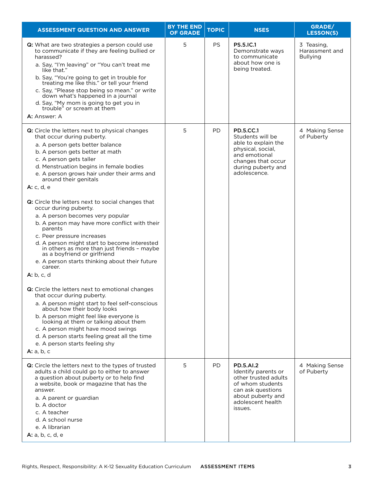| <b>ASSESSMENT QUESTION AND ANSWER</b>                                                                                                                                                                                                                                                                                                                                                                                                                                                                                                                                                                                                                                                                                                                                                                                                                                                                                                                   | <b>BY THE END</b><br><b>OF GRADE</b> | <b>TOPIC</b> | <b>NSES</b>                                                                                                                                                   | GRADE/<br><b>LESSON(S)</b>                      |
|---------------------------------------------------------------------------------------------------------------------------------------------------------------------------------------------------------------------------------------------------------------------------------------------------------------------------------------------------------------------------------------------------------------------------------------------------------------------------------------------------------------------------------------------------------------------------------------------------------------------------------------------------------------------------------------------------------------------------------------------------------------------------------------------------------------------------------------------------------------------------------------------------------------------------------------------------------|--------------------------------------|--------------|---------------------------------------------------------------------------------------------------------------------------------------------------------------|-------------------------------------------------|
| Q: What are two strategies a person could use<br>to communicate if they are feeling bullied or<br>harassed?<br>a. Say, "I'm leaving" or "You can't treat me<br>like that."<br>b. Say, "You're going to get in trouble for<br>treating me like this." or tell your friend<br>c. Say, "Please stop being so mean." or write<br>down what's happened in a journal<br>d. Say, "My mom is going to get you in<br>trouble" or scream at them<br>A: Answer: A                                                                                                                                                                                                                                                                                                                                                                                                                                                                                                  | 5                                    | <b>PS</b>    | <b>PS.5.IC.1</b><br>Demonstrate ways<br>to communicate<br>about how one is<br>being treated.                                                                  | 3 Teasing,<br>Harassment and<br><b>Bullying</b> |
| Q: Circle the letters next to physical changes<br>that occur during puberty.<br>a. A person gets better balance<br>b. A person gets better at math<br>c. A person gets taller<br>d. Menstruation begins in female bodies<br>e. A person grows hair under their arms and<br>around their genitals<br><b>A:</b> c, d, e<br>Q: Circle the letters next to social changes that<br>occur during puberty.<br>a. A person becomes very popular<br>b. A person may have more conflict with their<br>parents<br>c. Peer pressure increases<br>d. A person might start to become interested<br>in others as more than just friends - maybe<br>as a boyfriend or girlfriend<br>e. A person starts thinking about their future<br>career.<br>A: b, c, d<br>Q: Circle the letters next to emotional changes<br>that occur during puberty.<br>a. A person might start to feel self-conscious<br>about how their body looks<br>b. A person might feel like everyone is | 5                                    | PD           | <b>PD.5.CC.1</b><br>Students will be<br>able to explain the<br>physical, social,<br>and emotional<br>changes that occur<br>during puberty and<br>adolescence. | 4 Making Sense<br>of Puberty                    |
| looking at them or talking about them<br>c. A person might have mood swings<br>d. A person starts feeling great all the time<br>e. A person starts feeling shy<br><b>A:</b> a, b, c                                                                                                                                                                                                                                                                                                                                                                                                                                                                                                                                                                                                                                                                                                                                                                     |                                      |              |                                                                                                                                                               |                                                 |
| Q: Circle the letters next to the types of trusted<br>adults a child could go to either to answer<br>a question about puberty or to help find<br>a website, book or magazine that has the<br>answer.<br>a. A parent or guardian<br>b. A doctor<br>c. A teacher<br>d. A school nurse<br>e. A librarian<br>A: a, b, c, d, e                                                                                                                                                                                                                                                                                                                                                                                                                                                                                                                                                                                                                               | 5                                    | <b>PD</b>    | <b>PD.5.AI.2</b><br>Identify parents or<br>other trusted adults<br>of whom students<br>can ask questions<br>about puberty and<br>adolescent health<br>issues. | 4 Making Sense<br>of Puberty                    |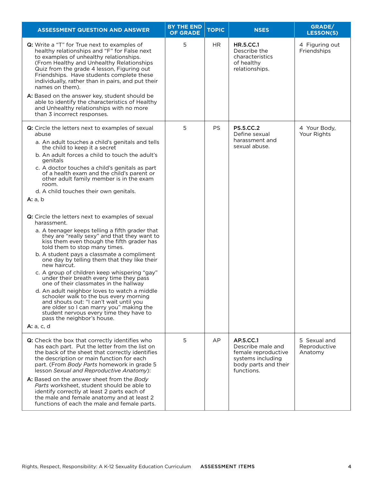| <b>ASSESSMENT QUESTION AND ANSWER</b>                                                                                                                                                                                                                                                                                                                                                                                                                                                                                                                                                                                                                                                                                                                                                                                                                                                                                                                                                                                                                                                                                                                                                                          | <b>BY THE END</b><br><b>OF GRADE</b> | <b>TOPIC</b> | <b>NSES</b>                                                                                                      | GRADE/<br><b>LESSON(S)</b>              |
|----------------------------------------------------------------------------------------------------------------------------------------------------------------------------------------------------------------------------------------------------------------------------------------------------------------------------------------------------------------------------------------------------------------------------------------------------------------------------------------------------------------------------------------------------------------------------------------------------------------------------------------------------------------------------------------------------------------------------------------------------------------------------------------------------------------------------------------------------------------------------------------------------------------------------------------------------------------------------------------------------------------------------------------------------------------------------------------------------------------------------------------------------------------------------------------------------------------|--------------------------------------|--------------|------------------------------------------------------------------------------------------------------------------|-----------------------------------------|
| Q: Write a "T" for True next to examples of<br>healthy relationships and "F" for False next<br>to examples of unhealthy relationships.<br>(From Healthy and Unhealthy Relationships<br>Quiz from the grade 4 lesson, Figuring out<br>Friendships. Have students complete these<br>individually, rather than in pairs, and put their<br>names on them).<br>A: Based on the answer key, student should be<br>able to identify the characteristics of Healthy<br>and Unhealthy relationships with no more<br>than 3 incorrect responses.                                                                                                                                                                                                                                                                                                                                                                                                                                                                                                                                                                                                                                                                          | 5                                    | HR.          | <b>HR.5.CC.1</b><br>Describe the<br>characteristics<br>of healthy<br>relationships.                              | 4 Figuring out<br>Friendships           |
| Q: Circle the letters next to examples of sexual<br>abuse<br>a. An adult touches a child's genitals and tells<br>the child to keep it a secret<br>b. An adult forces a child to touch the adult's<br>genitals<br>c. A doctor touches a child's genitals as part<br>of a health exam and the child's parent or<br>other adult family member is in the exam<br>room.<br>d. A child touches their own genitals.<br><b>A:</b> a, b<br>Q: Circle the letters next to examples of sexual<br>harassment.<br>a. A teenager keeps telling a fifth grader that<br>they are "really sexy" and that they want to<br>kiss them even though the fifth grader has<br>told them to stop many times.<br>b. A student pays a classmate a compliment<br>one day by telling them that they like their<br>new haircut.<br>c. A group of children keep whispering "gay"<br>under their breath every time they pass<br>one of their classmates in the hallway<br>d. An adult neighbor loves to watch a middle<br>schooler walk to the bus every morning<br>and shouts out: "I can't wait until you<br>are older so I can marry you" making the<br>student nervous every time they have to<br>pass the neighbor's house.<br>A: a, c, d | 5                                    | <b>PS</b>    | <b>PS.5.CC.2</b><br>Define sexual<br>harassment and<br>sexual abuse.                                             | 4 Your Body,<br>Your Rights             |
| Q: Check the box that correctly identifies who<br>has each part. Put the letter from the list on<br>the back of the sheet that correctly identifies<br>the description or main function for each<br>part. (From Body Parts homework in grade 5<br>lesson Sexual and Reproductive Anatomy):<br>A: Based on the answer sheet from the Body<br>Parts worksheet, student should be able to<br>identify correctly at least 2 parts each of<br>the male and female anatomy and at least 2<br>functions of each the male and female parts.                                                                                                                                                                                                                                                                                                                                                                                                                                                                                                                                                                                                                                                                            | 5                                    | AP           | AP.5.CC.1<br>Describe male and<br>female reproductive<br>systems including<br>body parts and their<br>functions. | 5 Sexual and<br>Reproductive<br>Anatomy |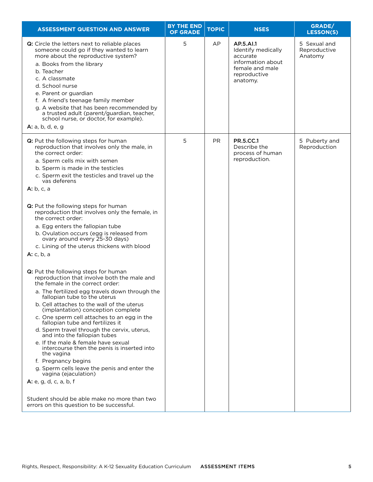| <b>ASSESSMENT QUESTION AND ANSWER</b>                                                                                                                                                                                                                                                                                                                                                                                                                                                                                                                                                                                                                                                                                                                                                     | <b>BY THE END</b><br><b>OF GRADE</b> | <b>TOPIC</b> | <b>NSES</b>                                                                                                     | GRADE/<br><b>LESSON(S)</b>              |
|-------------------------------------------------------------------------------------------------------------------------------------------------------------------------------------------------------------------------------------------------------------------------------------------------------------------------------------------------------------------------------------------------------------------------------------------------------------------------------------------------------------------------------------------------------------------------------------------------------------------------------------------------------------------------------------------------------------------------------------------------------------------------------------------|--------------------------------------|--------------|-----------------------------------------------------------------------------------------------------------------|-----------------------------------------|
| Q: Circle the letters next to reliable places<br>someone could go if they wanted to learn<br>more about the reproductive system?<br>a. Books from the library<br>b. Teacher<br>c. A classmate<br>d. School nurse<br>e. Parent or guardian<br>f. A friend's teenage family member<br>g. A website that has been recommended by<br>a trusted adult (parent/guardian, teacher,<br>school nurse, or doctor, for example).<br>A: a, b, d, e, g                                                                                                                                                                                                                                                                                                                                                 | 5                                    | AP           | AP.5.AI.1<br>Identify medically<br>accurate<br>information about<br>female and male<br>reproductive<br>anatomy. | 5 Sexual and<br>Reproductive<br>Anatomy |
| Q: Put the following steps for human<br>reproduction that involves only the male, in<br>the correct order:<br>a. Sperm cells mix with semen<br>b. Sperm is made in the testicles<br>c. Sperm exit the testicles and travel up the<br>vas deferens<br>A: b, c, a                                                                                                                                                                                                                                                                                                                                                                                                                                                                                                                           | 5                                    | PR.          | <b>PR.5.CC.1</b><br>Describe the<br>process of human<br>reproduction.                                           | 5 Puberty and<br>Reproduction           |
| Q: Put the following steps for human<br>reproduction that involves only the female, in<br>the correct order:<br>a. Egg enters the fallopian tube<br>b. Ovulation occurs (egg is released from<br>ovary around every 25-30 days)<br>c. Lining of the uterus thickens with blood<br>A: c, b, a                                                                                                                                                                                                                                                                                                                                                                                                                                                                                              |                                      |              |                                                                                                                 |                                         |
| Q: Put the following steps for human<br>reproduction that involve both the male and<br>the female in the correct order:<br>a. The fertilized egg travels down through the<br>fallopian tube to the uterus<br>b. Cell attaches to the wall of the uterus<br>(implantation) conception complete<br>c. One sperm cell attaches to an egg in the<br>fallopian tube and fertilizes it<br>d. Sperm travel through the cervix, uterus,<br>and into the fallopian tubes<br>e. If the male & female have sexual<br>intercourse then the penis is inserted into<br>the vagina<br>f. Pregnancy begins<br>g. Sperm cells leave the penis and enter the<br>vagina (ejaculation)<br>A: e, g, d, c, a, b, f<br>Student should be able make no more than two<br>errors on this question to be successful. |                                      |              |                                                                                                                 |                                         |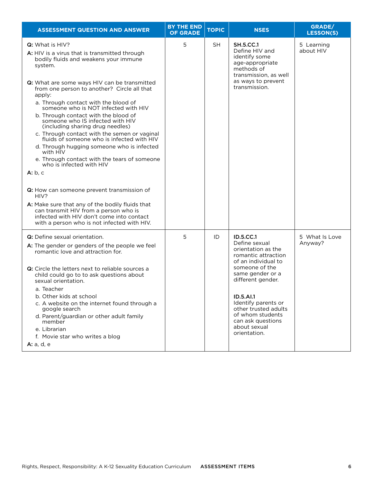| <b>ASSESSMENT QUESTION AND ANSWER</b>                                                                                                                                                                                                                                                                                                                                                                                                                                                                                                                                                                                                                                                                                                                                                                                                                                                                                      | <b>BY THE END</b><br><b>OF GRADE</b> | <b>TOPIC</b> | <b>NSES</b>                                                                                                                                                                                                                                                                                           | GRADE/<br><b>LESSON(S)</b> |
|----------------------------------------------------------------------------------------------------------------------------------------------------------------------------------------------------------------------------------------------------------------------------------------------------------------------------------------------------------------------------------------------------------------------------------------------------------------------------------------------------------------------------------------------------------------------------------------------------------------------------------------------------------------------------------------------------------------------------------------------------------------------------------------------------------------------------------------------------------------------------------------------------------------------------|--------------------------------------|--------------|-------------------------------------------------------------------------------------------------------------------------------------------------------------------------------------------------------------------------------------------------------------------------------------------------------|----------------------------|
| Q: What is HIV?<br>A: HIV is a virus that is transmitted through<br>bodily fluids and weakens your immune<br>system.<br>Q: What are some ways HIV can be transmitted<br>from one person to another? Circle all that<br>apply:<br>a. Through contact with the blood of<br>someone who is NOT infected with HIV<br>b. Through contact with the blood of<br>someone who IS infected with HIV<br>(including sharing drug needles)<br>c. Through contact with the semen or vaginal<br>fluids of someone who is infected with HIV<br>d. Through hugging someone who is infected<br>with HIV<br>e. Through contact with the tears of someone<br>who is infected with HIV<br>A: b, c<br>Q: How can someone prevent transmission of<br>HIV?<br>A: Make sure that any of the bodily fluids that<br>can transmit HIV from a person who is<br>infected with HIV don't come into contact<br>with a person who is not infected with HIV. | 5                                    | <b>SH</b>    | <b>SH.5.CC.1</b><br>Define HIV and<br>identify some<br>age-appropriate<br>methods of<br>transmission, as well<br>as ways to prevent<br>transmission.                                                                                                                                                  | 5 Learning<br>about HIV    |
| <b>Q:</b> Define sexual orientation.<br>A: The gender or genders of the people we feel<br>romantic love and attraction for.<br>Q: Circle the letters next to reliable sources a<br>child could go to to ask questions about<br>sexual orientation.<br>a. Teacher<br>b. Other kids at school<br>c. A website on the internet found through a<br>google search<br>d. Parent/guardian or other adult family<br>member<br>e. Librarian<br>f. Movie star who writes a blog<br><b>A:</b> a, d, e                                                                                                                                                                                                                                                                                                                                                                                                                                 | 5                                    | ID           | <b>ID.5.CC.1</b><br>Define sexual<br>orientation as the<br>romantic attraction<br>of an individual to<br>someone of the<br>same gender or a<br>different gender.<br>ID.5.AI.1<br>Identify parents or<br>other trusted adults<br>of whom students<br>can ask questions<br>about sexual<br>orientation. | 5 What Is Love<br>Anyway?  |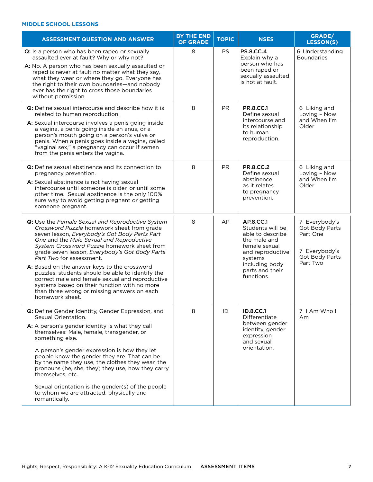#### **Middle School Lessons**

| <b>ASSESSMENT QUESTION AND ANSWER</b>                                                                                                                                                                                                                                                                                                                                                                                                                                                                                                                                                                    | <b>BY THE END</b><br><b>OF GRADE</b> | <b>TOPIC</b> | <b>NSES</b>                                                                                                                                                          | GRADE/<br><b>LESSON(S)</b>                                                                        |
|----------------------------------------------------------------------------------------------------------------------------------------------------------------------------------------------------------------------------------------------------------------------------------------------------------------------------------------------------------------------------------------------------------------------------------------------------------------------------------------------------------------------------------------------------------------------------------------------------------|--------------------------------------|--------------|----------------------------------------------------------------------------------------------------------------------------------------------------------------------|---------------------------------------------------------------------------------------------------|
| Q: Is a person who has been raped or sexually<br>assaulted ever at fault? Why or why not?<br>A: No. A person who has been sexually assaulted or<br>raped is never at fault no matter what they say,<br>what they wear or where they go. Everyone has<br>the right to their own boundaries-and nobody<br>ever has the right to cross those boundaries<br>without permission.                                                                                                                                                                                                                              | 8                                    | <b>PS</b>    | <b>PS.8.CC.4</b><br>Explain why a<br>person who has<br>been raped or<br>sexually assaulted<br>is not at fault.                                                       | 6 Understanding<br><b>Boundaries</b>                                                              |
| Q: Define sexual intercourse and describe how it is<br>related to human reproduction.<br>A: Sexual intercourse involves a penis going inside<br>a vagina, a penis going inside an anus, or a<br>person's mouth going on a person's vulva or<br>penis. When a penis goes inside a vagina, called<br>"vaginal sex," a pregnancy can occur if semen<br>from the penis enters the vagina.                                                                                                                                                                                                                    | 8                                    | <b>PR</b>    | <b>PR.8.CC.1</b><br>Define sexual<br>intercourse and<br>its relationship<br>to human<br>reproduction.                                                                | 6 Liking and<br>Loving - Now<br>and When I'm<br>Older                                             |
| Q: Define sexual abstinence and its connection to<br>pregnancy prevention.<br>A: Sexual abstinence is not having sexual<br>intercourse until someone is older, or until some<br>other time. Sexual abstinence is the only 100%<br>sure way to avoid getting pregnant or getting<br>someone pregnant.                                                                                                                                                                                                                                                                                                     | 8                                    | <b>PR</b>    | <b>PR.8.CC.2</b><br>Define sexual<br>abstinence<br>as it relates<br>to pregnancy<br>prevention.                                                                      | 6 Liking and<br>Loving - Now<br>and When I'm<br>Older                                             |
| <b>Q:</b> Use the Female Sexual and Reproductive System<br>Crossword Puzzle homework sheet from grade<br>seven lesson, Everybody's Got Body Parts Part<br>One and the Male Sexual and Reproductive<br>System Crossword Puzzle homework sheet from<br>grade seven lesson, Everybody's Got Body Parts<br>Part Two for assessment.<br>A: Based on the answer keys to the crossword<br>puzzles, students should be able to identify the<br>correct male and female sexual and reproductive<br>systems based on their function with no more<br>than three wrong or missing answers on each<br>homework sheet. | 8                                    | AP           | AP.8.CC.1<br>Students will be<br>able to describe<br>the male and<br>female sexual<br>and reproductive<br>systems<br>including body<br>parts and their<br>functions. | 7 Everybody's<br><b>Got Body Parts</b><br>Part One<br>7 Everybody's<br>Got Body Parts<br>Part Two |
| Q: Define Gender Identity, Gender Expression, and<br>Sexual Orientation.<br>A: A person's gender identity is what they call<br>themselves: Male, female, transgender, or<br>something else.<br>A person's gender expression is how they let<br>people know the gender they are. That can be<br>by the name they use, the clothes they wear, the<br>pronouns (he, she, they) they use, how they carry<br>themselves, etc.<br>Sexual orientation is the gender(s) of the people<br>to whom we are attracted, physically and<br>romantically.                                                               | 8                                    | ID           | <b>ID.8.CC.1</b><br>Differentiate<br>between gender<br>identity, gender<br>expression<br>and sexual<br>orientation.                                                  | 7   Am Who  <br>Am                                                                                |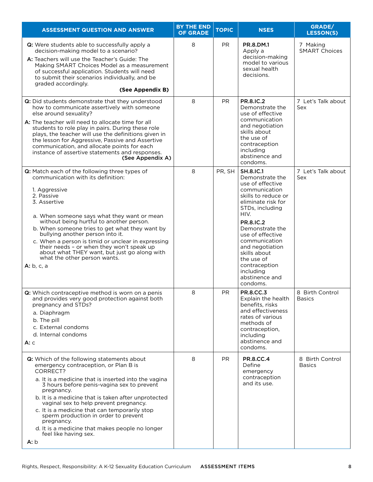| <b>ASSESSMENT QUESTION AND ANSWER</b>                                                                                                                                                                                                                                                                                                                                                                                                                                                                                | <b>BY THE END</b><br><b>OF GRADE</b> | <b>TOPIC</b> | <b>NSES</b>                                                                                                                                                                                                                                                                                                                               | GRADE/<br><b>LESSON(S)</b>       |
|----------------------------------------------------------------------------------------------------------------------------------------------------------------------------------------------------------------------------------------------------------------------------------------------------------------------------------------------------------------------------------------------------------------------------------------------------------------------------------------------------------------------|--------------------------------------|--------------|-------------------------------------------------------------------------------------------------------------------------------------------------------------------------------------------------------------------------------------------------------------------------------------------------------------------------------------------|----------------------------------|
| Q: Were students able to successfully apply a<br>decision-making model to a scenario?<br>A: Teachers will use the Teacher's Guide: The<br>Making SMART Choices Model as a measurement<br>of successful application. Students will need<br>to submit their scenarios individually, and be<br>graded accordingly.<br>(See Appendix B)                                                                                                                                                                                  | 8                                    | <b>PR</b>    | PR.8.DM.1<br>Apply a<br>decision-making<br>model to various<br>sexual health<br>decisions.                                                                                                                                                                                                                                                | 7 Making<br><b>SMART Choices</b> |
| Q: Did students demonstrate that they understood<br>how to communicate assertively with someone<br>else around sexuality?<br>A: The teacher will need to allocate time for all<br>students to role play in pairs. During these role<br>plays, the teacher will use the definitions given in<br>the lesson for Aggressive, Passive and Assertive<br>communication, and allocate points for each<br>instance of assertive statements and responses.<br>(See Appendix A)                                                | 8                                    | <b>PR</b>    | <b>PR.8.IC.2</b><br>Demonstrate the<br>use of effective<br>communication<br>and negotiation<br>skills about<br>the use of<br>contraception<br>including<br>abstinence and<br>condoms.                                                                                                                                                     | 7 Let's Talk about<br>Sex        |
| Q: Match each of the following three types of<br>communication with its definition:<br>1. Aggressive<br>2. Passive<br>3. Assertive<br>a. When someone says what they want or mean<br>without being hurtful to another person.<br>b. When someone tries to get what they want by<br>bullying another person into it.<br>c. When a person is timid or unclear in expressing<br>their needs - or when they won't speak up<br>about what THEY want, but just go along with<br>what the other person wants.<br>A: b, c, a | 8                                    | PR, SH       | <b>SH.8.IC.1</b><br>Demonstrate the<br>use of effective<br>communication<br>skills to reduce or<br>eliminate risk for<br>STDs, including<br>HIV.<br><b>PR.8.IC.2</b><br>Demonstrate the<br>use of effective<br>communication<br>and negotiation<br>skills about<br>the use of<br>contraception<br>including<br>abstinence and<br>condoms. | 7 Let's Talk about<br>Sex        |
| Q: Which contraceptive method is worn on a penis<br>and provides very good protection against both<br>pregnancy and STDs?<br>a. Diaphragm<br>b. The pill<br>c. External condoms<br>d. Internal condoms<br>A: C                                                                                                                                                                                                                                                                                                       | 8                                    | PR           | <b>PR.8.CC.3</b><br>Explain the health<br>benefits, risks<br>and effectiveness<br>rates of various<br>methods of<br>contraception,<br>including<br>abstinence and<br>condoms.                                                                                                                                                             | 8 Birth Control<br><b>Basics</b> |
| Q: Which of the following statements about<br>emergency contraception, or Plan B is<br>CORRECT?<br>a. It is a medicine that is inserted into the vagina<br>3 hours before penis-vagina sex to prevent<br>pregnancy.<br>b. It is a medicine that is taken after unprotected<br>vaginal sex to help prevent pregnancy.<br>c. It is a medicine that can temporarily stop<br>sperm production in order to prevent<br>pregnancy.<br>d. It is a medicine that makes people no longer<br>feel like having sex.<br>A: b      | 8                                    | <b>PR</b>    | <b>PR.8.CC.4</b><br>Define<br>emergency<br>contraception<br>and its use.                                                                                                                                                                                                                                                                  | 8 Birth Control<br><b>Basics</b> |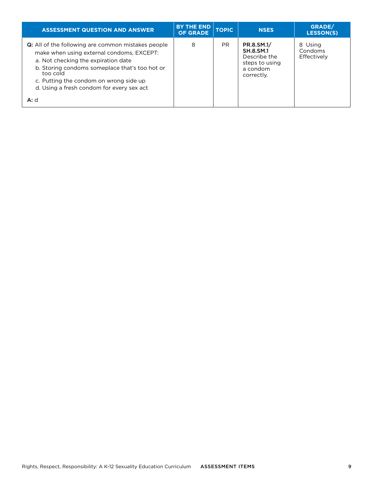| <b>ASSESSMENT QUESTION AND ANSWER</b>                                                                                                                                                                                                                                                              | <b>BY THE END</b><br><b>OF GRADE</b> | <b>TOPIC</b> | <b>NSES</b>                                                                                | GRADE/<br><b>LESSON(S)</b>        |
|----------------------------------------------------------------------------------------------------------------------------------------------------------------------------------------------------------------------------------------------------------------------------------------------------|--------------------------------------|--------------|--------------------------------------------------------------------------------------------|-----------------------------------|
| <b>Q:</b> All of the following are common mistakes people<br>make when using external condoms, EXCEPT:<br>a. Not checking the expiration date<br>b. Storing condoms someplace that's too hot or<br>too cold<br>c. Putting the condom on wrong side up<br>d. Using a fresh condom for every sex act | 8                                    | PR.          | PR.8.SM.1/<br><b>SH.8.SM.1</b><br>Describe the<br>steps to using<br>a condom<br>correctly. | 8 Using<br>Condoms<br>Effectively |
| A: d                                                                                                                                                                                                                                                                                               |                                      |              |                                                                                            |                                   |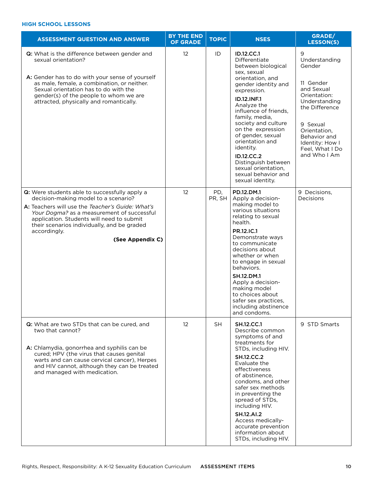#### **High School Lessons**

| <b>ASSESSMENT QUESTION AND ANSWER</b>                                                                                                                                                                                                                                                                                   | <b>BY THE END</b><br><b>OF GRADE</b> | <b>TOPIC</b>  | <b>NSES</b>                                                                                                                                                                                                                                                                                                                                                                                                               | GRADE/<br><b>LESSON(S)</b>                                                                                                                                                                                   |
|-------------------------------------------------------------------------------------------------------------------------------------------------------------------------------------------------------------------------------------------------------------------------------------------------------------------------|--------------------------------------|---------------|---------------------------------------------------------------------------------------------------------------------------------------------------------------------------------------------------------------------------------------------------------------------------------------------------------------------------------------------------------------------------------------------------------------------------|--------------------------------------------------------------------------------------------------------------------------------------------------------------------------------------------------------------|
| Q: What is the difference between gender and<br>sexual orientation?<br>A: Gender has to do with your sense of yourself<br>as male, female, a combination, or neither.<br>Sexual orientation has to do with the<br>gender(s) of the people to whom we are<br>attracted, physically and romantically.                     | 12                                   | ID            | ID.12.CC.1<br>Differentiate<br>between biological<br>sex, sexual<br>orientation, and<br>gender identity and<br>expression.<br><b>ID.12.INF.1</b><br>Analyze the<br>influence of friends,<br>family, media,<br>society and culture<br>on the expression<br>of gender, sexual<br>orientation and<br>identity.<br><b>ID.12.CC.2</b><br>Distinguish between<br>sexual orientation,<br>sexual behavior and<br>sexual identity. | 9<br>Understanding<br>Gender<br>11 Gender<br>and Sexual<br>Orientation:<br>Understanding<br>the Difference<br>9 Sexual<br>Orientation,<br>Behavior and<br>Identity: How I<br>Feel, What I Do<br>and Who I Am |
| Q: Were students able to successfully apply a<br>decision-making model to a scenario?<br>A: Teachers will use the Teacher's Guide: What's<br>Your Dogma? as a measurement of successful<br>application. Students will need to submit<br>their scenarios individually, and be graded<br>accordingly.<br>(See Appendix C) | 12                                   | PD,<br>PR, SH | PD.12.DM.1<br>Apply a decision-<br>making model to<br>various situations<br>relating to sexual<br>health.<br>PR.12.IC.1<br>Demonstrate ways<br>to communicate<br>decisions about<br>whether or when<br>to engage in sexual<br>behaviors.<br><b>SH.12.DM.1</b><br>Apply a decision-<br>making model<br>to choices about<br>safer sex practices,<br>including abstinence<br>and condoms.                                    | 9 Decisions,<br>Decisions                                                                                                                                                                                    |
| Q: What are two STDs that can be cured, and<br>two that cannot?<br>A: Chlamydia, gonorrhea and syphilis can be<br>cured; HPV (the virus that causes genital<br>warts and can cause cervical cancer), Herpes<br>and HIV cannot, although they can be treated<br>and managed with medication.                             | 12                                   | <b>SH</b>     | <b>SH.12.CC.1</b><br>Describe common<br>symptoms of and<br>treatments for<br>STDs, including HIV.<br><b>SH.12.CC.2</b><br>Evaluate the<br>effectiveness<br>of abstinence.<br>condoms, and other<br>safer sex methods<br>in preventing the<br>spread of STDs,<br>including HIV.<br><b>SH.12.AI.2</b><br>Access medically-<br>accurate prevention<br>information about<br>STDs, including HIV.                              | 9 STD Smarts                                                                                                                                                                                                 |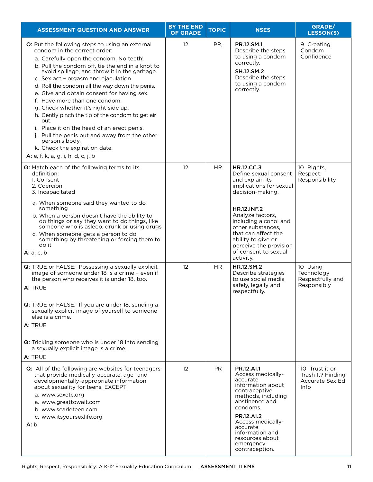| <b>ASSESSMENT QUESTION AND ANSWER</b>                                                                                                                                                                                                                                                                                                                                                                                                                                                                                                                                                                                                                                                               | <b>BY THE END</b><br><b>OF GRADE</b> | <b>TOPIC</b> | <b>NSES</b>                                                                                                                                                                                                                                                                                                      | GRADE/<br><b>LESSON(S)</b>                                     |
|-----------------------------------------------------------------------------------------------------------------------------------------------------------------------------------------------------------------------------------------------------------------------------------------------------------------------------------------------------------------------------------------------------------------------------------------------------------------------------------------------------------------------------------------------------------------------------------------------------------------------------------------------------------------------------------------------------|--------------------------------------|--------------|------------------------------------------------------------------------------------------------------------------------------------------------------------------------------------------------------------------------------------------------------------------------------------------------------------------|----------------------------------------------------------------|
| Q: Put the following steps to using an external<br>condom in the correct order:<br>a. Carefully open the condom. No teeth!<br>b. Pull the condom off, tie the end in a knot to<br>avoid spillage, and throw it in the garbage.<br>c. Sex act - orgasm and ejaculation.<br>d. Roll the condom all the way down the penis.<br>e. Give and obtain consent for having sex.<br>f. Have more than one condom.<br>g. Check whether it's right side up.<br>h. Gently pinch the tip of the condom to get air<br>out.<br>i. Place it on the head of an erect penis.<br>j. Pull the penis out and away from the other<br>person's body.<br>k. Check the expiration date.<br>A: e, f, k, a, g, i, h, d, c, j, b | 12                                   | PR,          | PR.12.SM.1<br>Describe the steps<br>to using a condom<br>correctly.<br><b>SH.12.SM.2</b><br>Describe the steps<br>to using a condom<br>correctly.                                                                                                                                                                | 9 Creating<br>Condom<br>Confidence                             |
| Q: Match each of the following terms to its<br>definition:<br>1. Consent<br>2. Coercion<br>3. Incapacitated<br>a. When someone said they wanted to do<br>something<br>b. When a person doesn't have the ability to<br>do things or say they want to do things, like<br>someone who is asleep, drunk or using drugs<br>c. When someone gets a person to do<br>something by threatening or forcing them to<br>do it<br><b>A:</b> a, c, b                                                                                                                                                                                                                                                              | 12                                   | HR.          | <b>HR.12.CC.3</b><br>Define sexual consent<br>and explain its<br>implications for sexual<br>decision-making.<br><b>HR.12.INF.2</b><br>Analyze factors,<br>including alcohol and<br>other substances,<br>that can affect the<br>ability to give or<br>perceive the provision<br>of consent to sexual<br>activity. | 10 Rights,<br>Respect,<br>Responsibility                       |
| Q: TRUE or FALSE: Possessing a sexually explicit<br>image of someone under 18 is a crime - even if<br>the person who receives it is under 18, too.<br>A: TRUE<br>Q: TRUE or FALSE: If you are under 18, sending a<br>sexually explicit image of yourself to someone<br>else is a crime.<br>A: TRUE<br>Q: Tricking someone who is under 18 into sending<br>a sexually explicit image is a crime.<br>A: TRUE                                                                                                                                                                                                                                                                                          | 12                                   | <b>HR</b>    | HR.12.SM.2<br>Describe strategies<br>to use social media<br>safely, legally and<br>respectfully.                                                                                                                                                                                                                 | 10 Using<br>Technology<br>Respectfully and<br>Responsibly      |
| Q: All of the following are websites for teenagers<br>that provide medically-accurate, age- and<br>developmentally-appropriate information<br>about sexuality for teens, EXCEPT:<br>a. www.sexetc.org<br>a. www.greattowait.com<br>b. www.scarleteen.com<br>c. www.itsyoursexlife.org<br>A: b                                                                                                                                                                                                                                                                                                                                                                                                       | $12 \overline{ }$                    | PR.          | <b>PR.12.AI.1</b><br>Access medically-<br>accurate<br>information about<br>contraceptive<br>methods, including<br>abstinence and<br>condoms.<br><b>PR.12.AI.2</b><br>Access medically-<br>accurate<br>information and<br>resources about<br>emergency<br>contraception.                                          | 10 Trust it or<br>Trash It? Finding<br>Accurate Sex Ed<br>Info |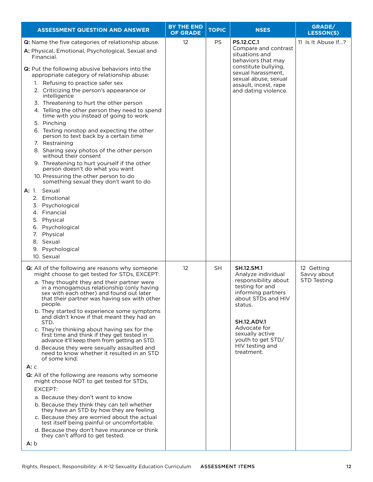| <b>ASSESSMENT QUESTION AND ANSWER</b>                                                                                                                                                                                                                                                                                                                                                                                                                                                                                                                                                                                                                                                                                                                                                                                                                                                                                                                                                                                                                                                                             | <b>BY THE END</b><br><b>OF GRADE</b> | <b>TOPIC</b> | <b>NSES</b>                                                                                                                                                                                                                                              | GRADE/<br><b>LESSON(S)</b>                      |
|-------------------------------------------------------------------------------------------------------------------------------------------------------------------------------------------------------------------------------------------------------------------------------------------------------------------------------------------------------------------------------------------------------------------------------------------------------------------------------------------------------------------------------------------------------------------------------------------------------------------------------------------------------------------------------------------------------------------------------------------------------------------------------------------------------------------------------------------------------------------------------------------------------------------------------------------------------------------------------------------------------------------------------------------------------------------------------------------------------------------|--------------------------------------|--------------|----------------------------------------------------------------------------------------------------------------------------------------------------------------------------------------------------------------------------------------------------------|-------------------------------------------------|
| Q: Name the five categories of relationship abuse.<br>A: Physical, Emotional, Psychological, Sexual and<br>Financial.<br>Q: Put the following abusive behaviors into the<br>appropriate category of relationship abuse:<br>1. Refusing to practice safer sex<br>2. Criticizing the person's appearance or<br>intelligence<br>3. Threatening to hurt the other person<br>4. Telling the other person they need to spend<br>time with you instead of going to work<br>5. Pinching<br>6. Texting nonstop and expecting the other<br>person to text back by a certain time<br>7. Restraining<br>8. Sharing sexy photos of the other person<br>without their consent<br>9. Threatening to hurt yourself if the other<br>person doesn't do what you want<br>10. Pressuring the other person to do<br>something sexual they don't want to do<br>A: 1. Sexual<br>2. Emotional<br>3. Psychological<br>4. Financial<br>5. Physical<br>6. Psychological<br>Physical<br>7.<br>8. Sexual<br>9. Psychological<br>10. Sexual                                                                                                     | 12                                   | <b>PS</b>    | <b>PS.12.CC.1</b><br>Compare and contrast<br>situations and<br>behaviors that may<br>constitute bullying,<br>sexual harassment,<br>sexual abuse, sexual<br>assault, incest, rape<br>and dating violence.                                                 | 11 Is It Abuse If?                              |
| Q: All of the following are reasons why someone<br>might choose to get tested for STDs, EXCEPT:<br>a. They thought they and their partner were<br>in a monogamous relationship (only having<br>sex with each other) and found out later<br>that their partner was having sex with other<br>people.<br>b. They started to experience some symptoms<br>and didn't know if that meant they had an<br>STD.<br>c. They're thinking about having sex for the<br>first time and think if they get tested in<br>advance it'll keep them from getting an STD.<br>d. Because they were sexually assaulted and<br>need to know whether it resulted in an STD<br>of some kind.<br>А: с<br>Q: All of the following are reasons why someone<br>might choose NOT to get tested for STDs,<br>EXCEPT:<br>a. Because they don't want to know<br>b. Because they think they can tell whether<br>they have an STD by how they are feeling<br>c. Because they are worried about the actual<br>test itself being painful or uncomfortable.<br>d. Because they don't have insurance or think<br>they can't afford to get tested.<br>A: b | 12                                   | <b>SH</b>    | <b>SH.12.SM.1</b><br>Analyze individual<br>responsibility about<br>testing for and<br>informing partners<br>about STDs and HIV<br>status.<br><b>SH.12.ADV.1</b><br>Advocate for<br>sexually active<br>youth to get STD/<br>HIV testing and<br>treatment. | 12 Getting<br>Savvy about<br><b>STD Testing</b> |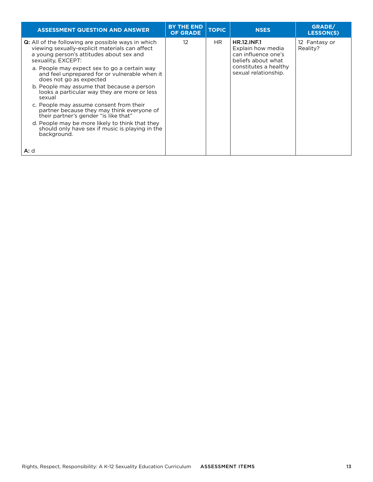| <b>ASSESSMENT QUESTION AND ANSWER</b>                                                                                                                                         | <b>BY THE END</b><br><b>OF GRADE</b>                                                              | <b>TOPIC</b> | <b>NSES</b>                                   | GRADE/<br><b>LESSON(S)</b> |  |  |  |  |  |               |
|-------------------------------------------------------------------------------------------------------------------------------------------------------------------------------|---------------------------------------------------------------------------------------------------|--------------|-----------------------------------------------|----------------------------|--|--|--|--|--|---------------|
| <b>Q:</b> All of the following are possible ways in which<br>viewing sexually-explicit materials can affect<br>a young person's attitudes about sex and<br>sexuality, EXCEPT: | 12<br>HR.<br><b>HR.12.INF.1</b><br>Explain how media<br>can influence one's<br>beliefs about what | Reality?     |                                               |                            |  |  |  |  |  | 12 Fantasy or |
| a. People may expect sex to go a certain way<br>and feel unprepared for or vulnerable when it<br>does not go as expected                                                      |                                                                                                   |              | constitutes a healthy<br>sexual relationship. |                            |  |  |  |  |  |               |
| b. People may assume that because a person<br>looks a particular way they are more or less<br>sexual                                                                          |                                                                                                   |              |                                               |                            |  |  |  |  |  |               |
| c. People may assume consent from their<br>partner because they may think everyone of<br>their partner's gender "is like that"                                                |                                                                                                   |              |                                               |                            |  |  |  |  |  |               |
| d. People may be more likely to think that they<br>should only have sex if music is playing in the<br>background.                                                             |                                                                                                   |              |                                               |                            |  |  |  |  |  |               |
| <b>A:</b> d                                                                                                                                                                   |                                                                                                   |              |                                               |                            |  |  |  |  |  |               |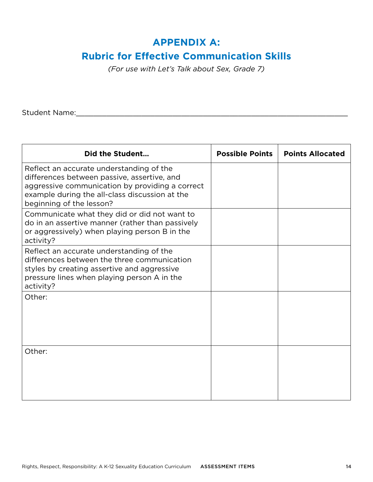### **APPENDIX A:**

#### **Rubric for Effective Communication Skills**

*(For use with Let's Talk about Sex, Grade 7)*

Student Name:\_\_\_\_\_\_\_\_\_\_\_\_\_\_\_\_\_\_\_\_\_\_\_\_\_\_\_\_\_\_\_\_\_\_\_\_\_\_\_\_\_\_\_\_\_\_\_\_\_\_\_\_\_\_\_\_\_\_\_\_\_\_

| Did the Student                                                                                                                                                                                                          | <b>Possible Points</b> | <b>Points Allocated</b> |
|--------------------------------------------------------------------------------------------------------------------------------------------------------------------------------------------------------------------------|------------------------|-------------------------|
| Reflect an accurate understanding of the<br>differences between passive, assertive, and<br>aggressive communication by providing a correct<br>example during the all-class discussion at the<br>beginning of the lesson? |                        |                         |
| Communicate what they did or did not want to<br>do in an assertive manner (rather than passively<br>or aggressively) when playing person B in the<br>activity?                                                           |                        |                         |
| Reflect an accurate understanding of the<br>differences between the three communication<br>styles by creating assertive and aggressive<br>pressure lines when playing person A in the<br>activity?                       |                        |                         |
| Other:                                                                                                                                                                                                                   |                        |                         |
| Other:                                                                                                                                                                                                                   |                        |                         |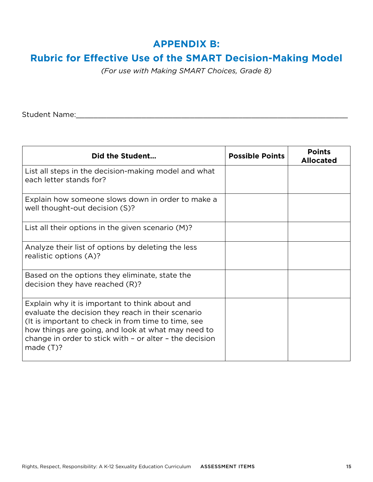### **APPENDIX B:**

## **Rubric for Effective Use of the SMART Decision-Making Model**

*(For use with Making SMART Choices, Grade 8)*

Student Name:\_\_\_\_\_\_\_\_\_\_\_\_\_\_\_\_\_\_\_\_\_\_\_\_\_\_\_\_\_\_\_\_\_\_\_\_\_\_\_\_\_\_\_\_\_\_\_\_\_\_\_\_\_\_\_\_\_\_\_\_\_\_

| Did the Student                                                                                                                                                                                                                                                                             | <b>Possible Points</b> | <b>Points</b><br><b>Allocated</b> |
|---------------------------------------------------------------------------------------------------------------------------------------------------------------------------------------------------------------------------------------------------------------------------------------------|------------------------|-----------------------------------|
| List all steps in the decision-making model and what<br>each letter stands for?                                                                                                                                                                                                             |                        |                                   |
| Explain how someone slows down in order to make a<br>well thought-out decision (S)?                                                                                                                                                                                                         |                        |                                   |
| List all their options in the given scenario (M)?                                                                                                                                                                                                                                           |                        |                                   |
| Analyze their list of options by deleting the less<br>realistic options (A)?                                                                                                                                                                                                                |                        |                                   |
| Based on the options they eliminate, state the<br>decision they have reached (R)?                                                                                                                                                                                                           |                        |                                   |
| Explain why it is important to think about and<br>evaluate the decision they reach in their scenario<br>(It is important to check in from time to time, see<br>how things are going, and look at what may need to<br>change in order to stick with - or alter - the decision<br>made $(T)?$ |                        |                                   |